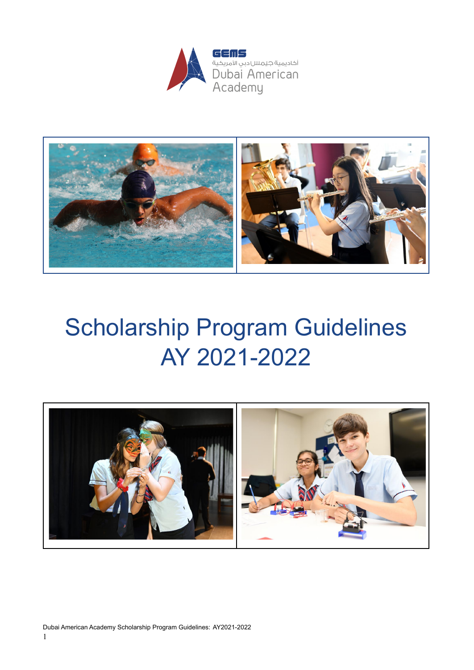



# Scholarship Program Guidelines AY 2021-2022

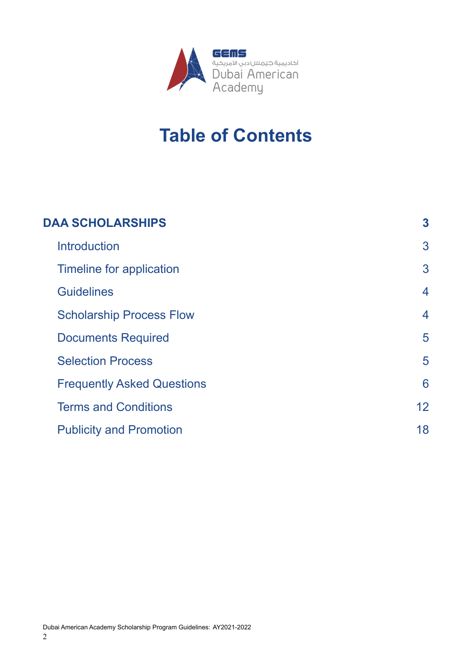![](_page_1_Picture_0.jpeg)

# **Table of Contents**

| <b>DAA SCHOLARSHIPS</b>           | 3                  |
|-----------------------------------|--------------------|
| <b>Introduction</b>               | 3                  |
| Timeline for application          | 3                  |
| <b>Guidelines</b>                 | 4                  |
| <b>Scholarship Process Flow</b>   | $\overline{\bf 4}$ |
| <b>Documents Required</b>         | 5                  |
| <b>Selection Process</b>          | 5                  |
| <b>Frequently Asked Questions</b> | 6                  |
| <b>Terms and Conditions</b>       | 12                 |
| <b>Publicity and Promotion</b>    | 18                 |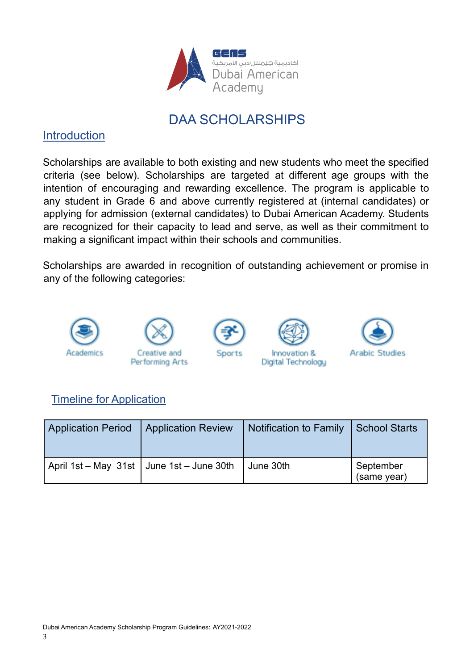![](_page_2_Picture_0.jpeg)

# DAA SCHOLARSHIPS

# <span id="page-2-0"></span>**Introduction**

Scholarships are available to both existing and new students who meet the specified criteria (see below). Scholarships are targeted at different age groups with the intention of encouraging and rewarding excellence. The program is applicable to any student in Grade 6 and above currently registered at (internal candidates) or applying for admission (external candidates) to Dubai American Academy. Students are recognized for their capacity to lead and serve, as well as their commitment to making a significant impact within their schools and communities.

Scholarships are awarded in recognition of outstanding achievement or promise in any of the following categories:

![](_page_2_Picture_5.jpeg)

# <span id="page-2-1"></span>Timeline for Application

| <b>Application Period</b>                   | <b>Application Review</b> | Notification to Family | School Starts            |
|---------------------------------------------|---------------------------|------------------------|--------------------------|
| April 1st – May 31st   June 1st – June 30th |                           | June 30th              | September<br>(same year) |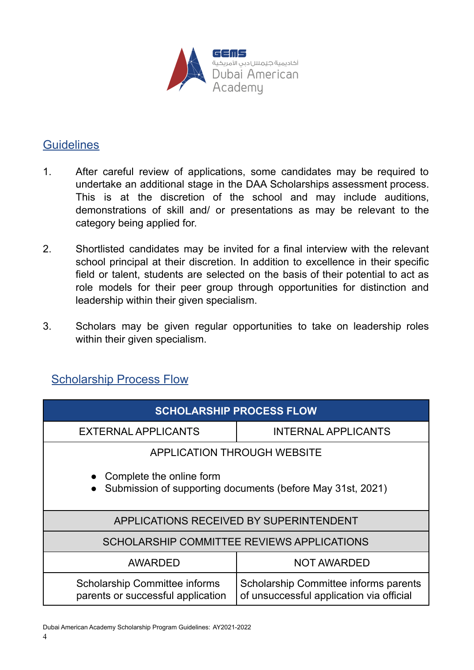![](_page_3_Picture_0.jpeg)

#### <span id="page-3-0"></span>**Guidelines**

- 1. After careful review of applications, some candidates may be required to undertake an additional stage in the DAA Scholarships assessment process. This is at the discretion of the school and may include auditions, demonstrations of skill and/ or presentations as may be relevant to the category being applied for.
- 2. Shortlisted candidates may be invited for a final interview with the relevant school principal at their discretion. In addition to excellence in their specific field or talent, students are selected on the basis of their potential to act as role models for their peer group through opportunities for distinction and leadership within their given specialism.
- 3. Scholars may be given regular opportunities to take on leadership roles within their given specialism.

# <span id="page-3-1"></span>**Scholarship Process Flow**

| <b>SCHOLARSHIP PROCESS FLOW</b>                                                            |                                                                                   |  |  |
|--------------------------------------------------------------------------------------------|-----------------------------------------------------------------------------------|--|--|
| <b>EXTERNAL APPLICANTS</b>                                                                 | <b>INTERNAL APPLICANTS</b>                                                        |  |  |
| <b>APPLICATION THROUGH WEBSITE</b>                                                         |                                                                                   |  |  |
| • Complete the online form<br>• Submission of supporting documents (before May 31st, 2021) |                                                                                   |  |  |
| APPLICATIONS RECEIVED BY SUPERINTENDENT                                                    |                                                                                   |  |  |
| SCHOLARSHIP COMMITTEE REVIEWS APPLICATIONS                                                 |                                                                                   |  |  |
| AWARDED                                                                                    | <b>NOT AWARDED</b>                                                                |  |  |
| <b>Scholarship Committee informs</b><br>parents or successful application                  | Scholarship Committee informs parents<br>of unsuccessful application via official |  |  |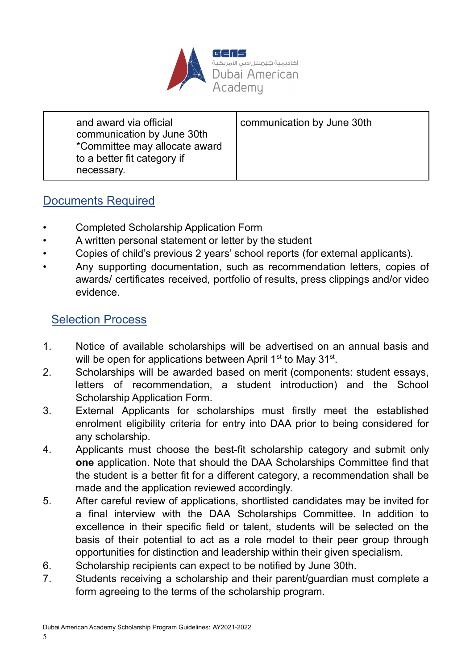![](_page_4_Picture_0.jpeg)

| and award via official<br>communication by June 30th<br>*Committee may allocate award<br>to a better fit category if<br>necessary. | communication by June 30th |
|------------------------------------------------------------------------------------------------------------------------------------|----------------------------|
|------------------------------------------------------------------------------------------------------------------------------------|----------------------------|

# <span id="page-4-0"></span>Documents Required

- Completed Scholarship Application Form
- A written personal statement or letter by the student
- Copies of child's previous 2 years' school reports (for external applicants).
- Any supporting documentation, such as recommendation letters, copies of awards/ certificates received, portfolio of results, press clippings and/or video evidence.

# <span id="page-4-1"></span>Selection Process

- 1. Notice of available scholarships will be advertised on an annual basis and will be open for applications between April 1<sup>st</sup> to May 31<sup>st</sup>.
- 2. Scholarships will be awarded based on merit (components: student essays, letters of recommendation, a student introduction) and the School Scholarship Application Form.
- 3. External Applicants for scholarships must firstly meet the established enrolment eligibility criteria for entry into DAA prior to being considered for any scholarship.
- 4. Applicants must choose the best-fit scholarship category and submit only **one** application. Note that should the DAA Scholarships Committee find that the student is a better fit for a different category, a recommendation shall be made and the application reviewed accordingly.
- 5. After careful review of applications, shortlisted candidates may be invited for a final interview with the DAA Scholarships Committee. In addition to excellence in their specific field or talent, students will be selected on the basis of their potential to act as a role model to their peer group through opportunities for distinction and leadership within their given specialism.
- 6. Scholarship recipients can expect to be notified by June 30th.
- 7. Students receiving a scholarship and their parent/guardian must complete a form agreeing to the terms of the scholarship program.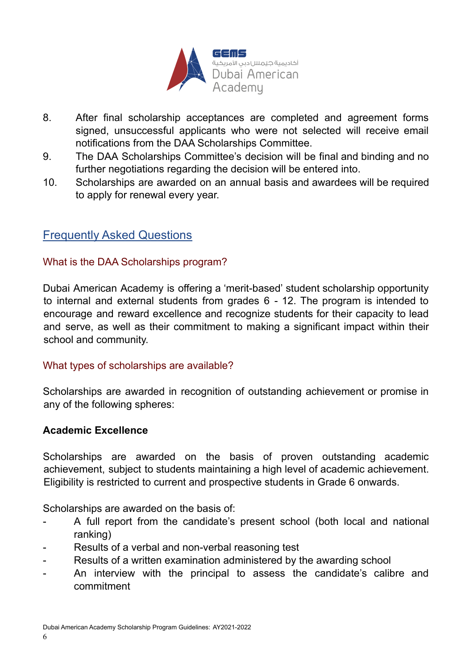![](_page_5_Picture_0.jpeg)

- 8. After final scholarship acceptances are completed and agreement forms signed, unsuccessful applicants who were not selected will receive email notifications from the DAA Scholarships Committee.
- 9. The DAA Scholarships Committee's decision will be final and binding and no further negotiations regarding the decision will be entered into.
- 10. Scholarships are awarded on an annual basis and awardees will be required to apply for renewal every year.

#### <span id="page-5-0"></span>Frequently Asked Questions

#### What is the DAA Scholarships program?

Dubai American Academy is offering a 'merit-based' student scholarship opportunity to internal and external students from grades 6 - 12. The program is intended to encourage and reward excellence and recognize students for their capacity to lead and serve, as well as their commitment to making a significant impact within their school and community.

#### What types of scholarships are available?

Scholarships are awarded in recognition of outstanding achievement or promise in any of the following spheres:

#### **Academic Excellence**

Scholarships are awarded on the basis of proven outstanding academic achievement, subject to students maintaining a high level of academic achievement. Eligibility is restricted to current and prospective students in Grade 6 onwards.

Scholarships are awarded on the basis of:

- A full report from the candidate's present school (both local and national ranking)
- Results of a verbal and non-verbal reasoning test
- Results of a written examination administered by the awarding school
- An interview with the principal to assess the candidate's calibre and commitment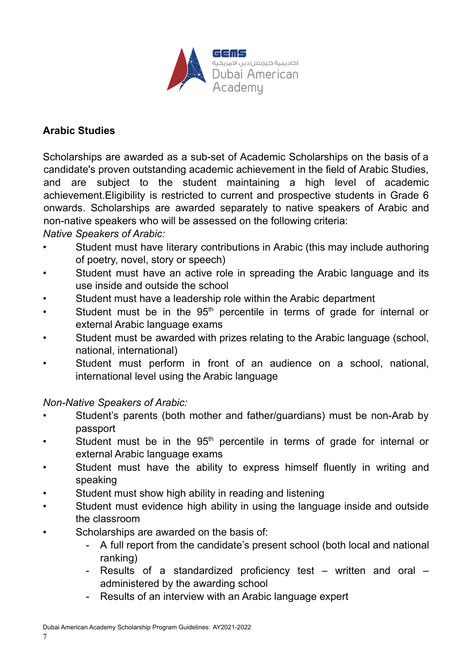![](_page_6_Picture_0.jpeg)

#### **Arabic Studies**

Scholarships are awarded as a sub-set of Academic Scholarships on the basis of a candidate's proven outstanding academic achievement in the field of Arabic Studies, and are subject to the student maintaining a high level of academic achievement.Eligibility is restricted to current and prospective students in Grade 6 onwards. Scholarships are awarded separately to native speakers of Arabic and non-native speakers who will be assessed on the following criteria: *Native Speakers of Arabic:*

- Student must have literary contributions in Arabic (this may include authoring of poetry, novel, story or speech)
- Student must have an active role in spreading the Arabic language and its use inside and outside the school
- Student must have a leadership role within the Arabic department
- Student must be in the 95<sup>th</sup> percentile in terms of grade for internal or external Arabic language exams
- Student must be awarded with prizes relating to the Arabic language (school, national, international)
- Student must perform in front of an audience on a school, national, international level using the Arabic language

*Non-Native Speakers of Arabic:*

- Student's parents (both mother and father/guardians) must be non-Arab by passport
- $\cdot$  Student must be in the 95<sup>th</sup> percentile in terms of grade for internal or external Arabic language exams
- Student must have the ability to express himself fluently in writing and speaking
- Student must show high ability in reading and listening
- Student must evidence high ability in using the language inside and outside the classroom
- Scholarships are awarded on the basis of:
	- A full report from the candidate's present school (both local and national ranking)
	- Results of a standardized proficiency test written and oral administered by the awarding school
	- Results of an interview with an Arabic language expert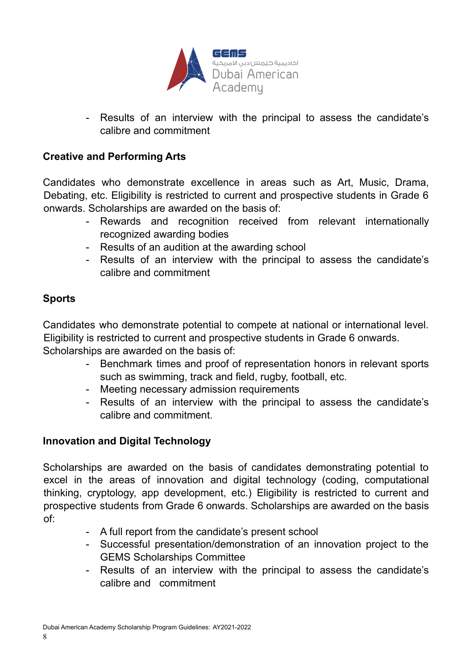![](_page_7_Picture_0.jpeg)

- Results of an interview with the principal to assess the candidate's calibre and commitment

#### **Creative and Performing Arts**

Candidates who demonstrate excellence in areas such as Art, Music, Drama, Debating, etc. Eligibility is restricted to current and prospective students in Grade 6 onwards. Scholarships are awarded on the basis of:

- Rewards and recognition received from relevant internationally recognized awarding bodies
- Results of an audition at the awarding school
- Results of an interview with the principal to assess the candidate's calibre and commitment

#### **Sports**

Candidates who demonstrate potential to compete at national or international level. Eligibility is restricted to current and prospective students in Grade 6 onwards. Scholarships are awarded on the basis of:

- Benchmark times and proof of representation honors in relevant sports such as swimming, track and field, rugby, football, etc.
- Meeting necessary admission requirements
- Results of an interview with the principal to assess the candidate's calibre and commitment.

#### **Innovation and Digital Technology**

Scholarships are awarded on the basis of candidates demonstrating potential to excel in the areas of innovation and digital technology (coding, computational thinking, cryptology, app development, etc.) Eligibility is restricted to current and prospective students from Grade 6 onwards. Scholarships are awarded on the basis of:

- A full report from the candidate's present school
- Successful presentation/demonstration of an innovation project to the GEMS Scholarships Committee
- Results of an interview with the principal to assess the candidate's calibre and commitment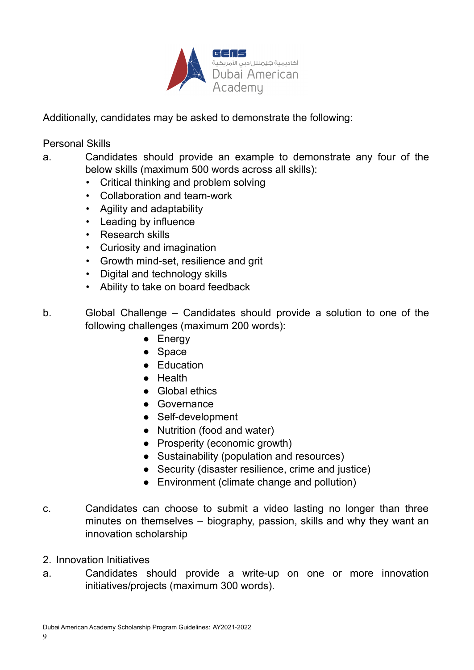![](_page_8_Picture_0.jpeg)

Additionally, candidates may be asked to demonstrate the following:

Personal Skills

- a. Candidates should provide an example to demonstrate any four of the below skills (maximum 500 words across all skills):
	- Critical thinking and problem solving
	- Collaboration and team-work
	- Agility and adaptability
	- Leading by influence
	- Research skills
	- Curiosity and imagination
	- Growth mind-set, resilience and grit
	- Digital and technology skills
	- Ability to take on board feedback
- b. Global Challenge Candidates should provide a solution to one of the following challenges (maximum 200 words):
	- Energy
	- Space
	- Education
	- Health
	- Global ethics
	- Governance
	- Self-development
	- Nutrition (food and water)
	- Prosperity (economic growth)
	- Sustainability (population and resources)
	- Security (disaster resilience, crime and justice)
	- Environment (climate change and pollution)
- c. Candidates can choose to submit a video lasting no longer than three minutes on themselves – biography, passion, skills and why they want an innovation scholarship
- 2. Innovation Initiatives
- a. Candidates should provide a write-up on one or more innovation initiatives/projects (maximum 300 words).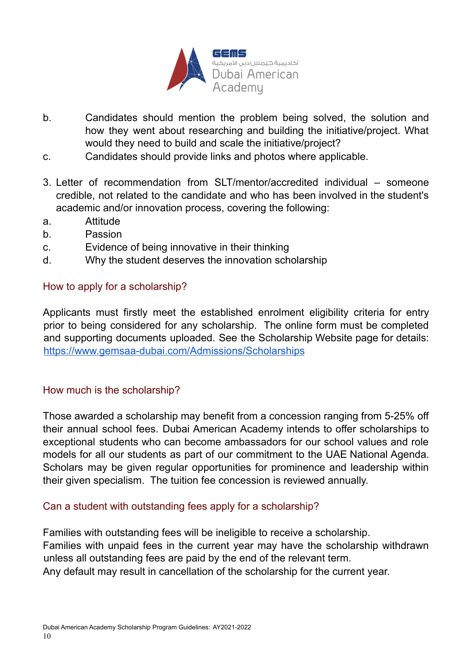![](_page_9_Picture_0.jpeg)

- b. Candidates should mention the problem being solved, the solution and how they went about researching and building the initiative/project. What would they need to build and scale the initiative/project?
- c. Candidates should provide links and photos where applicable.
- 3. Letter of recommendation from SLT/mentor/accredited individual someone credible, not related to the candidate and who has been involved in the student's academic and/or innovation process, covering the following:
- a. Attitude
- b. Passion
- c. Evidence of being innovative in their thinking
- d. Why the student deserves the innovation scholarship

#### How to apply for a scholarship?

Applicants must firstly meet the established enrolment eligibility criteria for entry prior to being considered for any scholarship. The online form must be completed and supporting documents uploaded. See the Scholarship Website page for details: <https://www.gemsaa-dubai.com/Admissions/Scholarships>

#### How much is the scholarship?

Those awarded a scholarship may benefit from a concession ranging from 5-25% off their annual school fees. Dubai American Academy intends to offer scholarships to exceptional students who can become ambassadors for our school values and role models for all our students as part of our commitment to the UAE National Agenda. Scholars may be given regular opportunities for prominence and leadership within their given specialism. The tuition fee concession is reviewed annually.

#### Can a student with outstanding fees apply for a scholarship?

Families with outstanding fees will be ineligible to receive a scholarship. Families with unpaid fees in the current year may have the scholarship withdrawn unless all outstanding fees are paid by the end of the relevant term. Any default may result in cancellation of the scholarship for the current year.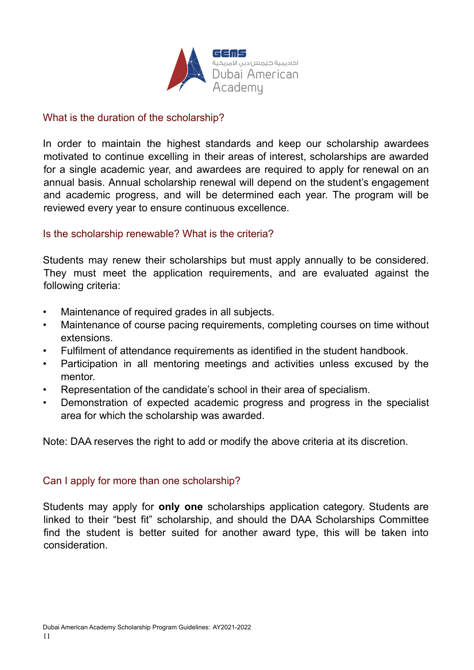![](_page_10_Picture_0.jpeg)

#### What is the duration of the scholarship?

In order to maintain the highest standards and keep our scholarship awardees motivated to continue excelling in their areas of interest, scholarships are awarded for a single academic year, and awardees are required to apply for renewal on an annual basis. Annual scholarship renewal will depend on the student's engagement and academic progress, and will be determined each year. The program will be reviewed every year to ensure continuous excellence.

#### Is the scholarship renewable? What is the criteria?

Students may renew their scholarships but must apply annually to be considered. They must meet the application requirements, and are evaluated against the following criteria:

- Maintenance of required grades in all subjects.
- Maintenance of course pacing requirements, completing courses on time without extensions.
- Fulfilment of attendance requirements as identified in the student handbook.
- Participation in all mentoring meetings and activities unless excused by the mentor.
- Representation of the candidate's school in their area of specialism.
- Demonstration of expected academic progress and progress in the specialist area for which the scholarship was awarded.

Note: DAA reserves the right to add or modify the above criteria at its discretion.

#### Can I apply for more than one scholarship?

Students may apply for **only one** scholarships application category. Students are linked to their "best fit" scholarship, and should the DAA Scholarships Committee find the student is better suited for another award type, this will be taken into consideration.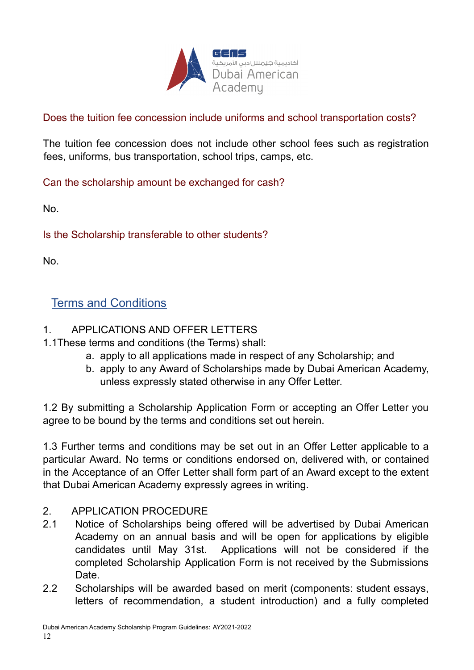![](_page_11_Picture_0.jpeg)

Does the tuition fee concession include uniforms and school transportation costs?

The tuition fee concession does not include other school fees such as registration fees, uniforms, bus transportation, school trips, camps, etc.

Can the scholarship amount be exchanged for cash?

No.

Is the Scholarship transferable to other students?

No.

# <span id="page-11-0"></span>Terms and Conditions

#### 1. APPLICATIONS AND OFFER LETTERS

- 1.1These terms and conditions (the Terms) shall:
	- a. apply to all applications made in respect of any Scholarship; and
	- b. apply to any Award of Scholarships made by Dubai American Academy, unless expressly stated otherwise in any Offer Letter.

1.2 By submitting a Scholarship Application Form or accepting an Offer Letter you agree to be bound by the terms and conditions set out herein.

1.3 Further terms and conditions may be set out in an Offer Letter applicable to a particular Award. No terms or conditions endorsed on, delivered with, or contained in the Acceptance of an Offer Letter shall form part of an Award except to the extent that Dubai American Academy expressly agrees in writing.

#### 2. APPLICATION PROCEDURE

- 2.1 Notice of Scholarships being offered will be advertised by Dubai American Academy on an annual basis and will be open for applications by eligible candidates until May 31st. Applications will not be considered if the completed Scholarship Application Form is not received by the Submissions Date.
- 2.2 Scholarships will be awarded based on merit (components: student essays, letters of recommendation, a student introduction) and a fully completed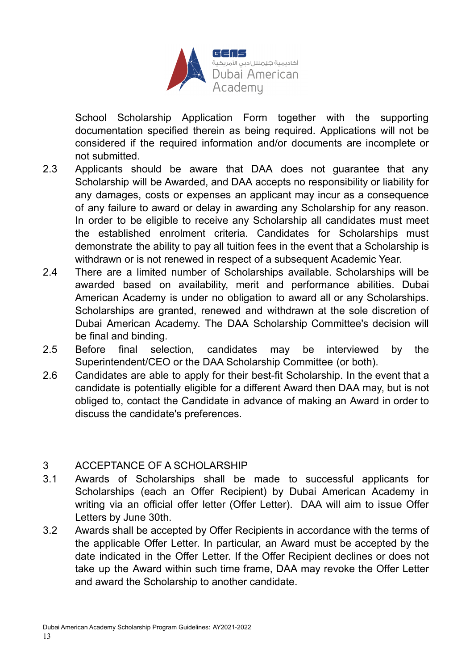![](_page_12_Picture_0.jpeg)

School Scholarship Application Form together with the supporting documentation specified therein as being required. Applications will not be considered if the required information and/or documents are incomplete or not submitted.

- 2.3 Applicants should be aware that DAA does not guarantee that any Scholarship will be Awarded, and DAA accepts no responsibility or liability for any damages, costs or expenses an applicant may incur as a consequence of any failure to award or delay in awarding any Scholarship for any reason. In order to be eligible to receive any Scholarship all candidates must meet the established enrolment criteria. Candidates for Scholarships must demonstrate the ability to pay all tuition fees in the event that a Scholarship is withdrawn or is not renewed in respect of a subsequent Academic Year.
- 2.4 There are a limited number of Scholarships available. Scholarships will be awarded based on availability, merit and performance abilities. Dubai American Academy is under no obligation to award all or any Scholarships. Scholarships are granted, renewed and withdrawn at the sole discretion of Dubai American Academy. The DAA Scholarship Committee's decision will be final and binding.
- 2.5 Before final selection, candidates may be interviewed by the Superintendent/CEO or the DAA Scholarship Committee (or both).
- 2.6 Candidates are able to apply for their best-fit Scholarship. In the event that a candidate is potentially eligible for a different Award then DAA may, but is not obliged to, contact the Candidate in advance of making an Award in order to discuss the candidate's preferences.

#### 3 ACCEPTANCE OF A SCHOLARSHIP

- 3.1 Awards of Scholarships shall be made to successful applicants for Scholarships (each an Offer Recipient) by Dubai American Academy in writing via an official offer letter (Offer Letter). DAA will aim to issue Offer Letters by June 30th.
- 3.2 Awards shall be accepted by Offer Recipients in accordance with the terms of the applicable Offer Letter. In particular, an Award must be accepted by the date indicated in the Offer Letter. If the Offer Recipient declines or does not take up the Award within such time frame, DAA may revoke the Offer Letter and award the Scholarship to another candidate.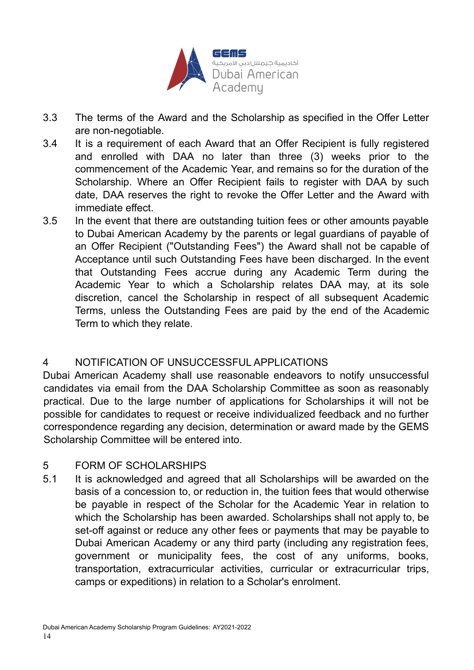![](_page_13_Picture_0.jpeg)

- 3.3 The terms of the Award and the Scholarship as specified in the Offer Letter are non-negotiable.
- 3.4 It is a requirement of each Award that an Offer Recipient is fully registered and enrolled with DAA no later than three (3) weeks prior to the commencement of the Academic Year, and remains so for the duration of the Scholarship. Where an Offer Recipient fails to register with DAA by such date, DAA reserves the right to revoke the Offer Letter and the Award with immediate effect.
- 3.5 In the event that there are outstanding tuition fees or other amounts payable to Dubai American Academy by the parents or legal guardians of payable of an Offer Recipient ("Outstanding Fees") the Award shall not be capable of Acceptance until such Outstanding Fees have been discharged. In the event that Outstanding Fees accrue during any Academic Term during the Academic Year to which a Scholarship relates DAA may, at its sole discretion, cancel the Scholarship in respect of all subsequent Academic Terms, unless the Outstanding Fees are paid by the end of the Academic Term to which they relate.

#### 4 NOTIFICATION OF UNSUCCESSFUL APPLICATIONS

Dubai American Academy shall use reasonable endeavors to notify unsuccessful candidates via email from the DAA Scholarship Committee as soon as reasonably practical. Due to the large number of applications for Scholarships it will not be possible for candidates to request or receive individualized feedback and no further correspondence regarding any decision, determination or award made by the GEMS Scholarship Committee will be entered into.

#### 5 FORM OF SCHOLARSHIPS

5.1 It is acknowledged and agreed that all Scholarships will be awarded on the basis of a concession to, or reduction in, the tuition fees that would otherwise be payable in respect of the Scholar for the Academic Year in relation to which the Scholarship has been awarded. Scholarships shall not apply to, be set-off against or reduce any other fees or payments that may be payable to Dubai American Academy or any third party (including any registration fees, government or municipality fees, the cost of any uniforms, books, transportation, extracurricular activities, curricular or extracurricular trips, camps or expeditions) in relation to a Scholar's enrolment.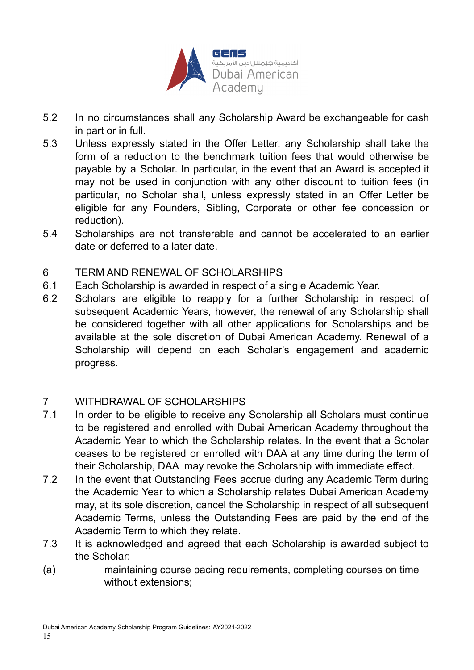![](_page_14_Picture_0.jpeg)

- 5.2 In no circumstances shall any Scholarship Award be exchangeable for cash in part or in full.
- 5.3 Unless expressly stated in the Offer Letter, any Scholarship shall take the form of a reduction to the benchmark tuition fees that would otherwise be payable by a Scholar. In particular, in the event that an Award is accepted it may not be used in conjunction with any other discount to tuition fees (in particular, no Scholar shall, unless expressly stated in an Offer Letter be eligible for any Founders, Sibling, Corporate or other fee concession or reduction).
- 5.4 Scholarships are not transferable and cannot be accelerated to an earlier date or deferred to a later date.

#### 6 TERM AND RENEWAL OF SCHOLARSHIPS

- 6.1 Each Scholarship is awarded in respect of a single Academic Year.
- 6.2 Scholars are eligible to reapply for a further Scholarship in respect of subsequent Academic Years, however, the renewal of any Scholarship shall be considered together with all other applications for Scholarships and be available at the sole discretion of Dubai American Academy. Renewal of a Scholarship will depend on each Scholar's engagement and academic progress.

#### 7 WITHDRAWAL OF SCHOLARSHIPS

- 7.1 In order to be eligible to receive any Scholarship all Scholars must continue to be registered and enrolled with Dubai American Academy throughout the Academic Year to which the Scholarship relates. In the event that a Scholar ceases to be registered or enrolled with DAA at any time during the term of their Scholarship, DAA may revoke the Scholarship with immediate effect.
- 7.2 In the event that Outstanding Fees accrue during any Academic Term during the Academic Year to which a Scholarship relates Dubai American Academy may, at its sole discretion, cancel the Scholarship in respect of all subsequent Academic Terms, unless the Outstanding Fees are paid by the end of the Academic Term to which they relate.
- 7.3 It is acknowledged and agreed that each Scholarship is awarded subject to the Scholar:
- (a) maintaining course pacing requirements, completing courses on time without extensions;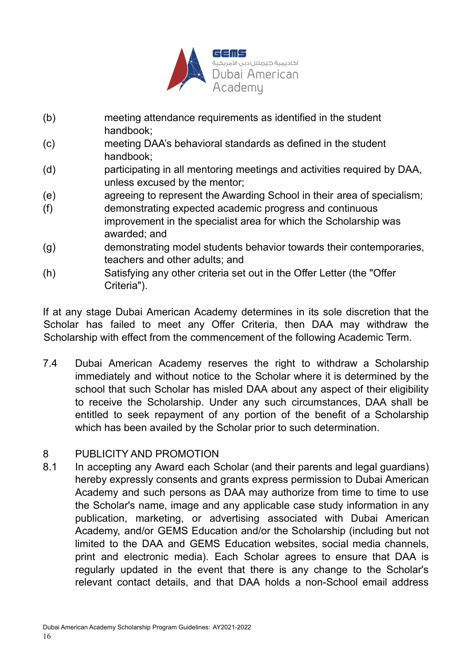![](_page_15_Picture_0.jpeg)

- (b) meeting attendance requirements as identified in the student handbook;
- (c) meeting DAA's behavioral standards as defined in the student handbook;
- (d) participating in all mentoring meetings and activities required by DAA, unless excused by the mentor;
- (e) agreeing to represent the Awarding School in their area of specialism;
- (f) demonstrating expected academic progress and continuous improvement in the specialist area for which the Scholarship was awarded; and
- (g) demonstrating model students behavior towards their contemporaries, teachers and other adults; and
- (h) Satisfying any other criteria set out in the Offer Letter (the "Offer Criteria").

If at any stage Dubai American Academy determines in its sole discretion that the Scholar has failed to meet any Offer Criteria, then DAA may withdraw the Scholarship with effect from the commencement of the following Academic Term.

7.4 Dubai American Academy reserves the right to withdraw a Scholarship immediately and without notice to the Scholar where it is determined by the school that such Scholar has misled DAA about any aspect of their eligibility to receive the Scholarship. Under any such circumstances, DAA shall be entitled to seek repayment of any portion of the benefit of a Scholarship which has been availed by the Scholar prior to such determination.

#### 8 PUBLICITY AND PROMOTION

8.1 In accepting any Award each Scholar (and their parents and legal guardians) hereby expressly consents and grants express permission to Dubai American Academy and such persons as DAA may authorize from time to time to use the Scholar's name, image and any applicable case study information in any publication, marketing, or advertising associated with Dubai American Academy, and/or GEMS Education and/or the Scholarship (including but not limited to the DAA and GEMS Education websites, social media channels, print and electronic media). Each Scholar agrees to ensure that DAA is regularly updated in the event that there is any change to the Scholar's relevant contact details, and that DAA holds a non-School email address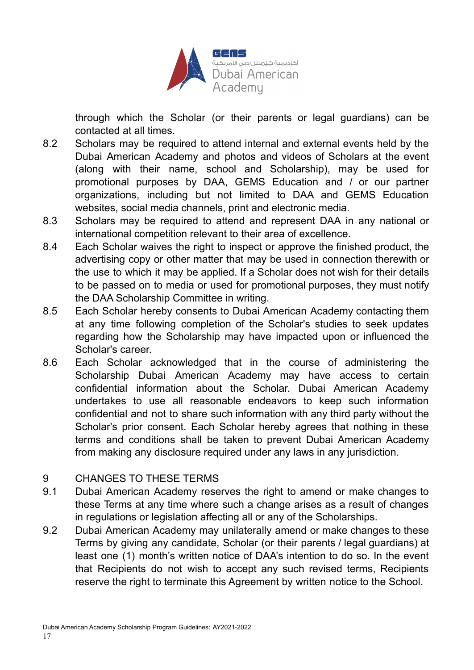![](_page_16_Picture_0.jpeg)

through which the Scholar (or their parents or legal guardians) can be contacted at all times.

- 8.2 Scholars may be required to attend internal and external events held by the Dubai American Academy and photos and videos of Scholars at the event (along with their name, school and Scholarship), may be used for promotional purposes by DAA, GEMS Education and / or our partner organizations, including but not limited to DAA and GEMS Education websites, social media channels, print and electronic media.
- 8.3 Scholars may be required to attend and represent DAA in any national or international competition relevant to their area of excellence.
- 8.4 Each Scholar waives the right to inspect or approve the finished product, the advertising copy or other matter that may be used in connection therewith or the use to which it may be applied. If a Scholar does not wish for their details to be passed on to media or used for promotional purposes, they must notify the DAA Scholarship Committee in writing.
- 8.5 Each Scholar hereby consents to Dubai American Academy contacting them at any time following completion of the Scholar's studies to seek updates regarding how the Scholarship may have impacted upon or influenced the Scholar's career.
- 8.6 Each Scholar acknowledged that in the course of administering the Scholarship Dubai American Academy may have access to certain confidential information about the Scholar. Dubai American Academy undertakes to use all reasonable endeavors to keep such information confidential and not to share such information with any third party without the Scholar's prior consent. Each Scholar hereby agrees that nothing in these terms and conditions shall be taken to prevent Dubai American Academy from making any disclosure required under any laws in any jurisdiction.

#### 9 CHANGES TO THESE TERMS

- 9.1 Dubai American Academy reserves the right to amend or make changes to these Terms at any time where such a change arises as a result of changes in regulations or legislation affecting all or any of the Scholarships.
- 9.2 Dubai American Academy may unilaterally amend or make changes to these Terms by giving any candidate, Scholar (or their parents / legal guardians) at least one (1) month's written notice of DAA's intention to do so. In the event that Recipients do not wish to accept any such revised terms, Recipients reserve the right to terminate this Agreement by written notice to the School.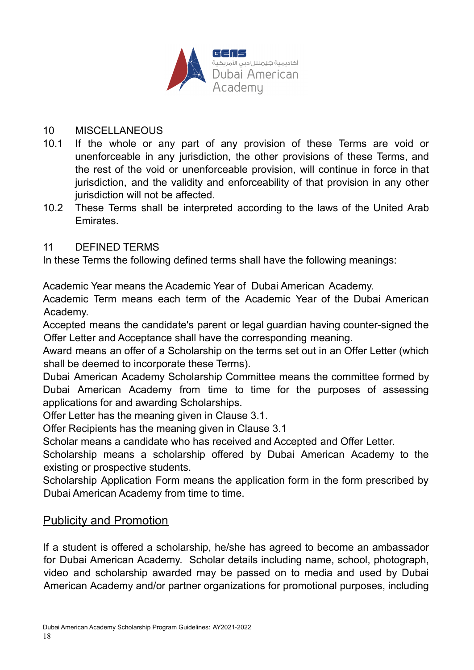![](_page_17_Picture_0.jpeg)

#### 10 MISCELLANEOUS

- 10.1 If the whole or any part of any provision of these Terms are void or unenforceable in any jurisdiction, the other provisions of these Terms, and the rest of the void or unenforceable provision, will continue in force in that jurisdiction, and the validity and enforceability of that provision in any other jurisdiction will not be affected.
- 10.2 These Terms shall be interpreted according to the laws of the United Arab **Emirates**

#### 11 DEFINED TERMS

In these Terms the following defined terms shall have the following meanings:

Academic Year means the Academic Year of Dubai American Academy.

Academic Term means each term of the Academic Year of the Dubai American Academy.

Accepted means the candidate's parent or legal guardian having counter-signed the Offer Letter and Acceptance shall have the corresponding meaning.

Award means an offer of a Scholarship on the terms set out in an Offer Letter (which shall be deemed to incorporate these Terms).

Dubai American Academy Scholarship Committee means the committee formed by Dubai American Academy from time to time for the purposes of assessing applications for and awarding Scholarships.

Offer Letter has the meaning given in Clause 3.1.

Offer Recipients has the meaning given in Clause 3.1

Scholar means a candidate who has received and Accepted and Offer Letter.

Scholarship means a scholarship offered by Dubai American Academy to the existing or prospective students.

Scholarship Application Form means the application form in the form prescribed by Dubai American Academy from time to time.

# <span id="page-17-0"></span>Publicity and Promotion

If a student is offered a scholarship, he/she has agreed to become an ambassador for Dubai American Academy. Scholar details including name, school, photograph, video and scholarship awarded may be passed on to media and used by Dubai American Academy and/or partner organizations for promotional purposes, including